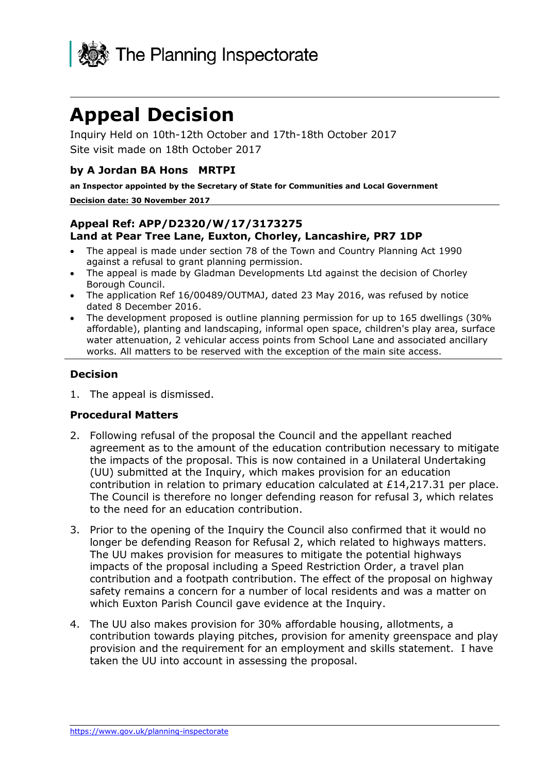

# **Appeal Decision**

Inquiry Held on 10th-12th October and 17th-18th October 2017 Site visit made on 18th October 2017

## **by A Jordan BA Hons MRTPI**

**an Inspector appointed by the Secretary of State for Communities and Local Government**

#### **Decision date: 30 November 2017**

## **Appeal Ref: APP/D2320/W/17/3173275 Land at Pear Tree Lane, Euxton, Chorley, Lancashire, PR7 1DP**

- The appeal is made under section 78 of the Town and Country Planning Act 1990 against a refusal to grant planning permission.
- The appeal is made by Gladman Developments Ltd against the decision of Chorley Borough Council.
- The application Ref 16/00489/OUTMAJ, dated 23 May 2016, was refused by notice dated 8 December 2016.
- The development proposed is outline planning permission for up to 165 dwellings (30% affordable), planting and landscaping, informal open space, children's play area, surface water attenuation, 2 vehicular access points from School Lane and associated ancillary works. All matters to be reserved with the exception of the main site access.

## **Decision**

1. The appeal is dismissed.

## **Procedural Matters**

- 2. Following refusal of the proposal the Council and the appellant reached agreement as to the amount of the education contribution necessary to mitigate the impacts of the proposal. This is now contained in a Unilateral Undertaking (UU) submitted at the Inquiry, which makes provision for an education contribution in relation to primary education calculated at £14,217.31 per place. The Council is therefore no longer defending reason for refusal 3, which relates to the need for an education contribution.
- 3. Prior to the opening of the Inquiry the Council also confirmed that it would no longer be defending Reason for Refusal 2, which related to highways matters. The UU makes provision for measures to mitigate the potential highways impacts of the proposal including a Speed Restriction Order, a travel plan contribution and a footpath contribution. The effect of the proposal on highway safety remains a concern for a number of local residents and was a matter on which Euxton Parish Council gave evidence at the Inquiry.
- 4. The UU also makes provision for 30% affordable housing, allotments, a contribution towards playing pitches, provision for amenity greenspace and play provision and the requirement for an employment and skills statement. I have taken the UU into account in assessing the proposal.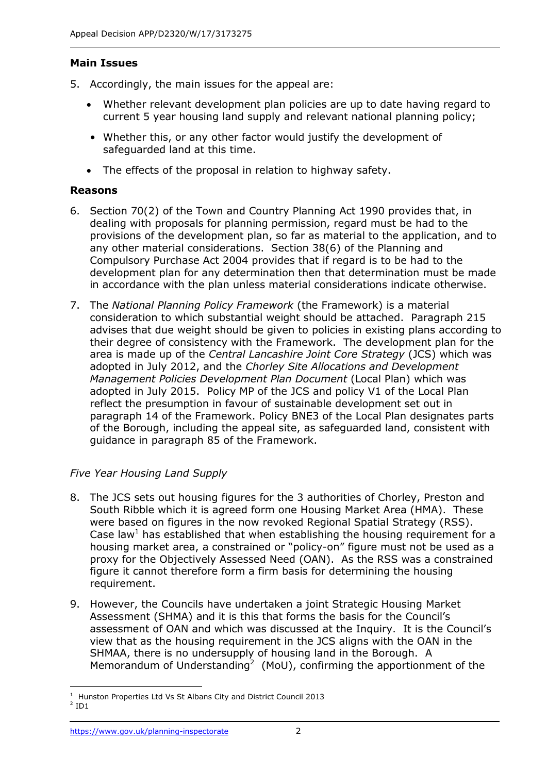## **Main Issues**

- 5. Accordingly, the main issues for the appeal are:
	- Whether relevant development plan policies are up to date having regard to current 5 year housing land supply and relevant national planning policy;
	- Whether this, or any other factor would justify the development of safeguarded land at this time.
	- The effects of the proposal in relation to highway safety.

## **Reasons**

- 6. Section 70(2) of the Town and Country Planning Act 1990 provides that, in dealing with proposals for planning permission, regard must be had to the provisions of the development plan, so far as material to the application, and to any other material considerations. Section 38(6) of the Planning and Compulsory Purchase Act 2004 provides that if regard is to be had to the development plan for any determination then that determination must be made in accordance with the plan unless material considerations indicate otherwise.
- 7. The *National Planning Policy Framework* (the Framework) is a material consideration to which substantial weight should be attached. Paragraph 215 advises that due weight should be given to policies in existing plans according to their degree of consistency with the Framework. The development plan for the area is made up of the *Central Lancashire Joint Core Strategy* (JCS) which was adopted in July 2012, and the *Chorley Site Allocations and Development Management Policies Development Plan Document* (Local Plan) which was adopted in July 2015. Policy MP of the JCS and policy V1 of the Local Plan reflect the presumption in favour of sustainable development set out in paragraph 14 of the Framework. Policy BNE3 of the Local Plan designates parts of the Borough, including the appeal site, as safeguarded land, consistent with guidance in paragraph 85 of the Framework.

# *Five Year Housing Land Supply*

- 8. The JCS sets out housing figures for the 3 authorities of Chorley, Preston and South Ribble which it is agreed form one Housing Market Area (HMA). These were based on figures in the now revoked Regional Spatial Strategy (RSS). Case law<sup>1</sup> has established that when establishing the housing requirement for a housing market area, a constrained or "policy-on" figure must not be used as a proxy for the Objectively Assessed Need (OAN). As the RSS was a constrained figure it cannot therefore form a firm basis for determining the housing requirement.
- 9. However, the Councils have undertaken a joint Strategic Housing Market Assessment (SHMA) and it is this that forms the basis for the Council's assessment of OAN and which was discussed at the Inquiry. It is the Council's view that as the housing requirement in the JCS aligns with the OAN in the SHMAA, there is no undersupply of housing land in the Borough. A Memorandum of Understanding<sup>2</sup> (MoU), confirming the apportionment of the

j <sup>1</sup> Hunston Properties Ltd Vs St Albans City and District Council 2013

 $2$  ID1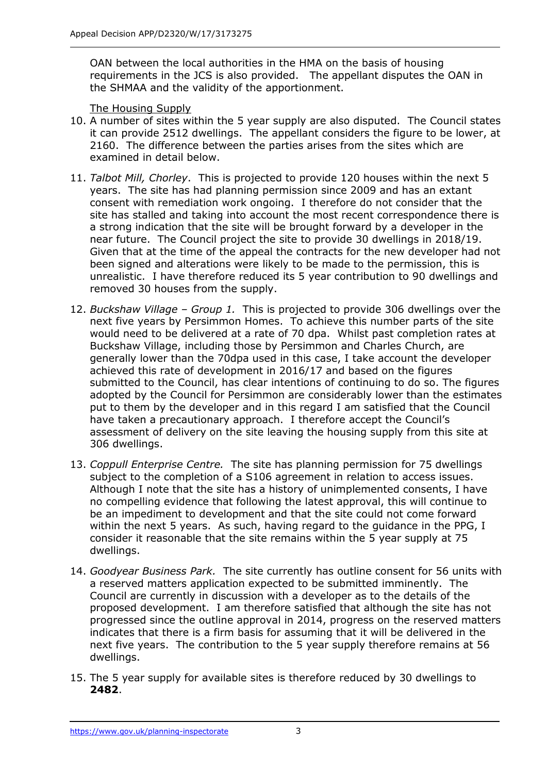OAN between the local authorities in the HMA on the basis of housing requirements in the JCS is also provided. The appellant disputes the OAN in the SHMAA and the validity of the apportionment.

## The Housing Supply

- 10. A number of sites within the 5 year supply are also disputed. The Council states it can provide 2512 dwellings. The appellant considers the figure to be lower, at 2160. The difference between the parties arises from the sites which are examined in detail below.
- 11. *Talbot Mill, Chorley*. This is projected to provide 120 houses within the next 5 years. The site has had planning permission since 2009 and has an extant consent with remediation work ongoing. I therefore do not consider that the site has stalled and taking into account the most recent correspondence there is a strong indication that the site will be brought forward by a developer in the near future. The Council project the site to provide 30 dwellings in 2018/19. Given that at the time of the appeal the contracts for the new developer had not been signed and alterations were likely to be made to the permission, this is unrealistic. I have therefore reduced its 5 year contribution to 90 dwellings and removed 30 houses from the supply.
- 12. *Buckshaw Village – Group 1.* This is projected to provide 306 dwellings over the next five years by Persimmon Homes. To achieve this number parts of the site would need to be delivered at a rate of 70 dpa. Whilst past completion rates at Buckshaw Village, including those by Persimmon and Charles Church, are generally lower than the 70dpa used in this case, I take account the developer achieved this rate of development in 2016/17 and based on the figures submitted to the Council, has clear intentions of continuing to do so. The figures adopted by the Council for Persimmon are considerably lower than the estimates put to them by the developer and in this regard I am satisfied that the Council have taken a precautionary approach. I therefore accept the Council's assessment of delivery on the site leaving the housing supply from this site at 306 dwellings.
- 13. *Coppull Enterprise Centre.* The site has planning permission for 75 dwellings subject to the completion of a S106 agreement in relation to access issues. Although I note that the site has a history of unimplemented consents, I have no compelling evidence that following the latest approval, this will continue to be an impediment to development and that the site could not come forward within the next 5 years. As such, having regard to the guidance in the PPG, I consider it reasonable that the site remains within the 5 year supply at 75 dwellings.
- 14. *Goodyear Business Park.* The site currently has outline consent for 56 units with a reserved matters application expected to be submitted imminently. The Council are currently in discussion with a developer as to the details of the proposed development. I am therefore satisfied that although the site has not progressed since the outline approval in 2014, progress on the reserved matters indicates that there is a firm basis for assuming that it will be delivered in the next five years. The contribution to the 5 year supply therefore remains at 56 dwellings.
- 15. The 5 year supply for available sites is therefore reduced by 30 dwellings to **2482**.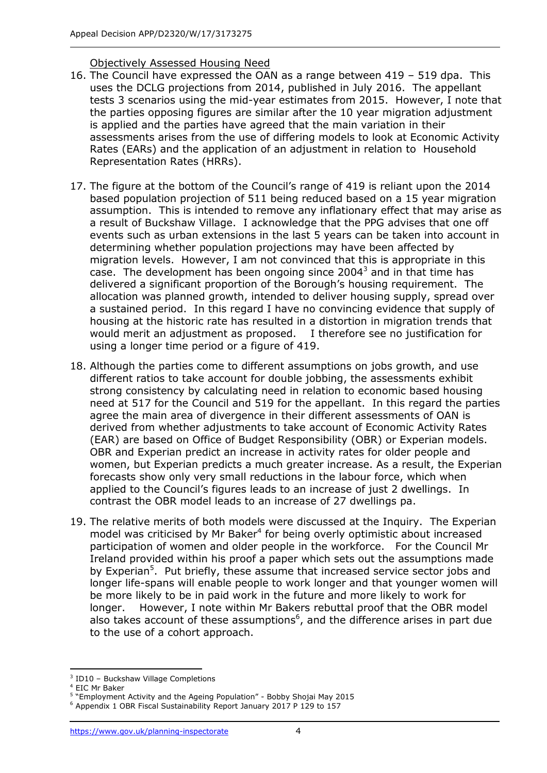## Objectively Assessed Housing Need

- 16. The Council have expressed the OAN as a range between 419 519 dpa. This uses the DCLG projections from 2014, published in July 2016. The appellant tests 3 scenarios using the mid-year estimates from 2015. However, I note that the parties opposing figures are similar after the 10 year migration adjustment is applied and the parties have agreed that the main variation in their assessments arises from the use of differing models to look at Economic Activity Rates (EARs) and the application of an adjustment in relation to Household Representation Rates (HRRs).
- 17. The figure at the bottom of the Council's range of 419 is reliant upon the 2014 based population projection of 511 being reduced based on a 15 year migration assumption. This is intended to remove any inflationary effect that may arise as a result of Buckshaw Village. I acknowledge that the PPG advises that one off events such as urban extensions in the last 5 years can be taken into account in determining whether population projections may have been affected by migration levels. However, I am not convinced that this is appropriate in this case. The development has been ongoing since 2004 $^3$  and in that time has delivered a significant proportion of the Borough's housing requirement. The allocation was planned growth, intended to deliver housing supply, spread over a sustained period. In this regard I have no convincing evidence that supply of housing at the historic rate has resulted in a distortion in migration trends that would merit an adjustment as proposed. I therefore see no justification for using a longer time period or a figure of 419.
- 18. Although the parties come to different assumptions on jobs growth, and use different ratios to take account for double jobbing, the assessments exhibit strong consistency by calculating need in relation to economic based housing need at 517 for the Council and 519 for the appellant. In this regard the parties agree the main area of divergence in their different assessments of OAN is derived from whether adjustments to take account of Economic Activity Rates (EAR) are based on Office of Budget Responsibility (OBR) or Experian models. OBR and Experian predict an increase in activity rates for older people and women, but Experian predicts a much greater increase. As a result, the Experian forecasts show only very small reductions in the labour force, which when applied to the Council's figures leads to an increase of just 2 dwellings. In contrast the OBR model leads to an increase of 27 dwellings pa.
- 19. The relative merits of both models were discussed at the Inquiry. The Experian model was criticised by Mr Baker<sup>4</sup> for being overly optimistic about increased participation of women and older people in the workforce. For the Council Mr Ireland provided within his proof a paper which sets out the assumptions made by Experian<sup>5</sup>. Put briefly, these assume that increased service sector jobs and longer life-spans will enable people to work longer and that younger women will be more likely to be in paid work in the future and more likely to work for longer. However, I note within Mr Bakers rebuttal proof that the OBR model also takes account of these assumptions $6$ , and the difference arises in part due to the use of a cohort approach.

j <sup>3</sup> ID10 - Buckshaw Village Completions

<sup>4</sup> EIC Mr Baker

<sup>&</sup>lt;sup>5</sup> "Employment Activity and the Ageing Population" - Bobby Shojai May 2015

<sup>6</sup> Appendix 1 OBR Fiscal Sustainability Report January 2017 P 129 to 157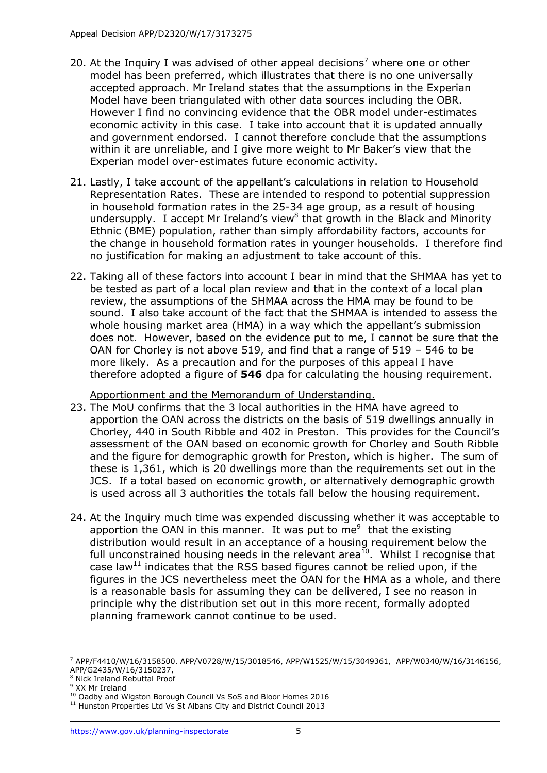- 20. At the Inquiry I was advised of other appeal decisions<sup>7</sup> where one or other model has been preferred, which illustrates that there is no one universally accepted approach. Mr Ireland states that the assumptions in the Experian Model have been triangulated with other data sources including the OBR. However I find no convincing evidence that the OBR model under-estimates economic activity in this case. I take into account that it is updated annually and government endorsed. I cannot therefore conclude that the assumptions within it are unreliable, and I give more weight to Mr Baker's view that the Experian model over-estimates future economic activity.
- 21. Lastly, I take account of the appellant's calculations in relation to Household Representation Rates. These are intended to respond to potential suppression in household formation rates in the 25-34 age group, as a result of housing undersupply. I accept Mr Ireland's view<sup>8</sup> that growth in the Black and Minority Ethnic (BME) population, rather than simply affordability factors, accounts for the change in household formation rates in younger households. I therefore find no justification for making an adjustment to take account of this.
- 22. Taking all of these factors into account I bear in mind that the SHMAA has yet to be tested as part of a local plan review and that in the context of a local plan review, the assumptions of the SHMAA across the HMA may be found to be sound. I also take account of the fact that the SHMAA is intended to assess the whole housing market area (HMA) in a way which the appellant's submission does not. However, based on the evidence put to me, I cannot be sure that the OAN for Chorley is not above 519, and find that a range of 519 – 546 to be more likely. As a precaution and for the purposes of this appeal I have therefore adopted a figure of **546** dpa for calculating the housing requirement.

Apportionment and the Memorandum of Understanding.

- 23. The MoU confirms that the 3 local authorities in the HMA have agreed to apportion the OAN across the districts on the basis of 519 dwellings annually in Chorley, 440 in South Ribble and 402 in Preston. This provides for the Council's assessment of the OAN based on economic growth for Chorley and South Ribble and the figure for demographic growth for Preston, which is higher. The sum of these is 1,361, which is 20 dwellings more than the requirements set out in the JCS. If a total based on economic growth, or alternatively demographic growth is used across all 3 authorities the totals fall below the housing requirement.
- 24. At the Inquiry much time was expended discussing whether it was acceptable to apportion the OAN in this manner. It was put to me $9$  that the existing distribution would result in an acceptance of a housing requirement below the full unconstrained housing needs in the relevant area<sup>10</sup>. Whilst I recognise that case law<sup>11</sup> indicates that the RSS based figures cannot be relied upon, if the figures in the JCS nevertheless meet the OAN for the HMA as a whole, and there is a reasonable basis for assuming they can be delivered, I see no reason in principle why the distribution set out in this more recent, formally adopted planning framework cannot continue to be used.

j <sup>7</sup> APP/F4410/W/16/3158500. APP/V0728/W/15/3018546, APP/W1525/W/15/3049361, APP/W0340/W/16/3146156, APP/G2435/W/16/3150237,

<sup>8</sup> Nick Ireland Rebuttal Proof

<sup>9</sup> XX Mr Ireland

<sup>10</sup> Oadby and Wigston Borough Council Vs SoS and Bloor Homes 2016

<sup>&</sup>lt;sup>11</sup> Hunston Properties Ltd Vs St Albans City and District Council 2013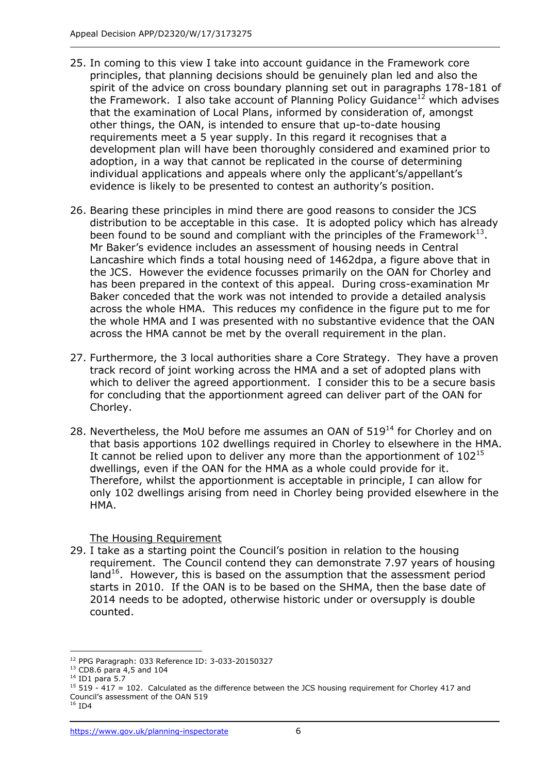- 25. In coming to this view I take into account guidance in the Framework core principles, that planning decisions should be genuinely plan led and also the spirit of the advice on cross boundary planning set out in paragraphs 178-181 of the Framework. I also take account of Planning Policy Guidance<sup>12</sup> which advises that the examination of Local Plans, informed by consideration of, amongst other things, the OAN, is intended to ensure that up-to-date housing requirements meet a 5 year supply. In this regard it recognises that a development plan will have been thoroughly considered and examined prior to adoption, in a way that cannot be replicated in the course of determining individual applications and appeals where only the applicant's/appellant's evidence is likely to be presented to contest an authority's position.
- 26. Bearing these principles in mind there are good reasons to consider the JCS distribution to be acceptable in this case. It is adopted policy which has already been found to be sound and compliant with the principles of the Framework $^{13}$ . Mr Baker's evidence includes an assessment of housing needs in Central Lancashire which finds a total housing need of 1462dpa, a figure above that in the JCS. However the evidence focusses primarily on the OAN for Chorley and has been prepared in the context of this appeal. During cross-examination Mr Baker conceded that the work was not intended to provide a detailed analysis across the whole HMA. This reduces my confidence in the figure put to me for the whole HMA and I was presented with no substantive evidence that the OAN across the HMA cannot be met by the overall requirement in the plan.
- 27. Furthermore, the 3 local authorities share a Core Strategy. They have a proven track record of joint working across the HMA and a set of adopted plans with which to deliver the agreed apportionment. I consider this to be a secure basis for concluding that the apportionment agreed can deliver part of the OAN for Chorley.
- 28. Nevertheless, the MoU before me assumes an OAN of  $519^{14}$  for Chorley and on that basis apportions 102 dwellings required in Chorley to elsewhere in the HMA. It cannot be relied upon to deliver any more than the apportionment of  $102^{15}$ dwellings, even if the OAN for the HMA as a whole could provide for it. Therefore, whilst the apportionment is acceptable in principle, I can allow for only 102 dwellings arising from need in Chorley being provided elsewhere in the HMA.

## The Housing Requirement

29. I take as a starting point the Council's position in relation to the housing requirement. The Council contend they can demonstrate 7.97 years of housing land $16$ . However, this is based on the assumption that the assessment period starts in 2010. If the OAN is to be based on the SHMA, then the base date of 2014 needs to be adopted, otherwise historic under or oversupply is double counted.

j

<sup>12</sup> PPG Paragraph: 033 Reference ID: 3-033-20150327

<sup>&</sup>lt;sup>13</sup> CD8.6 para 4,5 and 104

<sup>14</sup> ID1 para 5.7

 $15$  519 - 417 = 102. Calculated as the difference between the JCS housing requirement for Chorley 417 and Council's assessment of the OAN 519

 $16$  ID4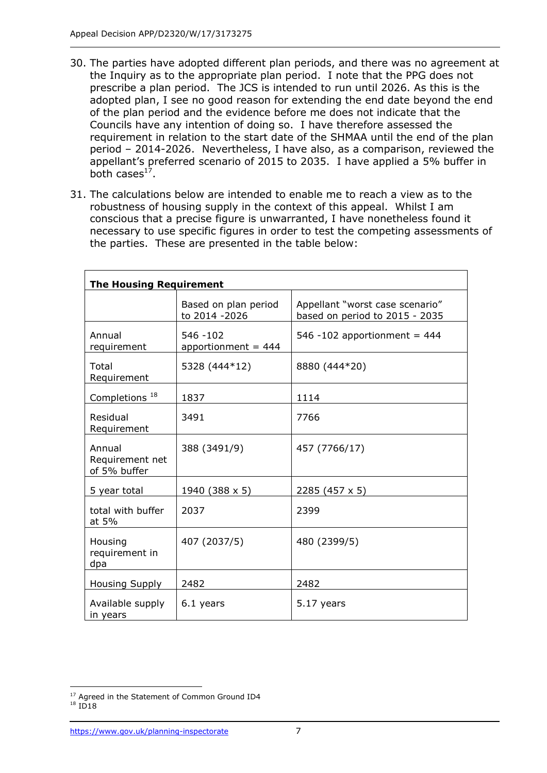- 30. The parties have adopted different plan periods, and there was no agreement at the Inquiry as to the appropriate plan period. I note that the PPG does not prescribe a plan period. The JCS is intended to run until 2026. As this is the adopted plan, I see no good reason for extending the end date beyond the end of the plan period and the evidence before me does not indicate that the Councils have any intention of doing so. I have therefore assessed the requirement in relation to the start date of the SHMAA until the end of the plan period – 2014-2026. Nevertheless, I have also, as a comparison, reviewed the appellant's preferred scenario of 2015 to 2035. I have applied a 5% buffer in both cases<sup>17</sup>.
- 31. The calculations below are intended to enable me to reach a view as to the robustness of housing supply in the context of this appeal. Whilst I am conscious that a precise figure is unwarranted, I have nonetheless found it necessary to use specific figures in order to test the competing assessments of the parties. These are presented in the table below:

| <b>The Housing Requirement</b>            |                                        |                                                                   |  |  |
|-------------------------------------------|----------------------------------------|-------------------------------------------------------------------|--|--|
|                                           | Based on plan period<br>to 2014 - 2026 | Appellant "worst case scenario"<br>based on period to 2015 - 2035 |  |  |
| Annual<br>requirement                     | $546 - 102$<br>apportionment = $444$   | 546 -102 apportionment = $444$                                    |  |  |
| Total<br>Requirement                      | 5328 (444*12)                          | 8880 (444*20)                                                     |  |  |
| Completions <sup>18</sup>                 | 1837                                   | 1114                                                              |  |  |
| Residual<br>Requirement                   | 3491                                   | 7766                                                              |  |  |
| Annual<br>Requirement net<br>of 5% buffer | 388 (3491/9)                           | 457 (7766/17)                                                     |  |  |
| 5 year total                              | 1940 (388 x 5)                         | 2285 (457 x 5)                                                    |  |  |
| total with buffer<br>at 5%                | 2037                                   | 2399                                                              |  |  |
| Housing<br>requirement in<br>dpa          | 407 (2037/5)                           | 480 (2399/5)                                                      |  |  |
| <b>Housing Supply</b>                     | 2482                                   | 2482                                                              |  |  |
| Available supply<br>in years              | 6.1 years                              | 5.17 years                                                        |  |  |

j <sup>17</sup> Agreed in the Statement of Common Ground ID4

<sup>18</sup> ID18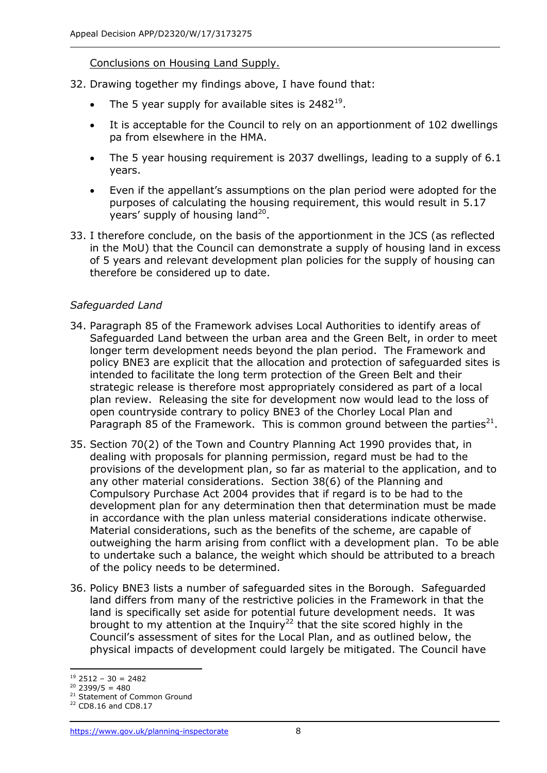Conclusions on Housing Land Supply.

- 32. Drawing together my findings above, I have found that:
	- The 5 year supply for available sites is  $2482^{19}$ .
	- It is acceptable for the Council to rely on an apportionment of 102 dwellings pa from elsewhere in the HMA.
	- The 5 year housing requirement is 2037 dwellings, leading to a supply of 6.1 years.
	- Even if the appellant's assumptions on the plan period were adopted for the purposes of calculating the housing requirement, this would result in 5.17 years' supply of housing land<sup>20</sup>.
- 33. I therefore conclude, on the basis of the apportionment in the JCS (as reflected in the MoU) that the Council can demonstrate a supply of housing land in excess of 5 years and relevant development plan policies for the supply of housing can therefore be considered up to date.

# *Safeguarded Land*

- 34. Paragraph 85 of the Framework advises Local Authorities to identify areas of Safeguarded Land between the urban area and the Green Belt, in order to meet longer term development needs beyond the plan period. The Framework and policy BNE3 are explicit that the allocation and protection of safeguarded sites is intended to facilitate the long term protection of the Green Belt and their strategic release is therefore most appropriately considered as part of a local plan review. Releasing the site for development now would lead to the loss of open countryside contrary to policy BNE3 of the Chorley Local Plan and Paragraph 85 of the Framework. This is common ground between the parties $^{21}$ .
- 35. Section 70(2) of the Town and Country Planning Act 1990 provides that, in dealing with proposals for planning permission, regard must be had to the provisions of the development plan, so far as material to the application, and to any other material considerations. Section 38(6) of the Planning and Compulsory Purchase Act 2004 provides that if regard is to be had to the development plan for any determination then that determination must be made in accordance with the plan unless material considerations indicate otherwise. Material considerations, such as the benefits of the scheme, are capable of outweighing the harm arising from conflict with a development plan. To be able to undertake such a balance, the weight which should be attributed to a breach of the policy needs to be determined.
- 36. Policy BNE3 lists a number of safeguarded sites in the Borough. Safeguarded land differs from many of the restrictive policies in the Framework in that the land is specifically set aside for potential future development needs. It was brought to my attention at the Inquiry<sup>22</sup> that the site scored highly in the Council's assessment of sites for the Local Plan, and as outlined below, the physical impacts of development could largely be mitigated. The Council have

j  $19$  2512 – 30 = 2482

 $20\,2399/5 = 480$ 

<sup>&</sup>lt;sup>21</sup> Statement of Common Ground

<sup>22</sup> CD8.16 and CD8.17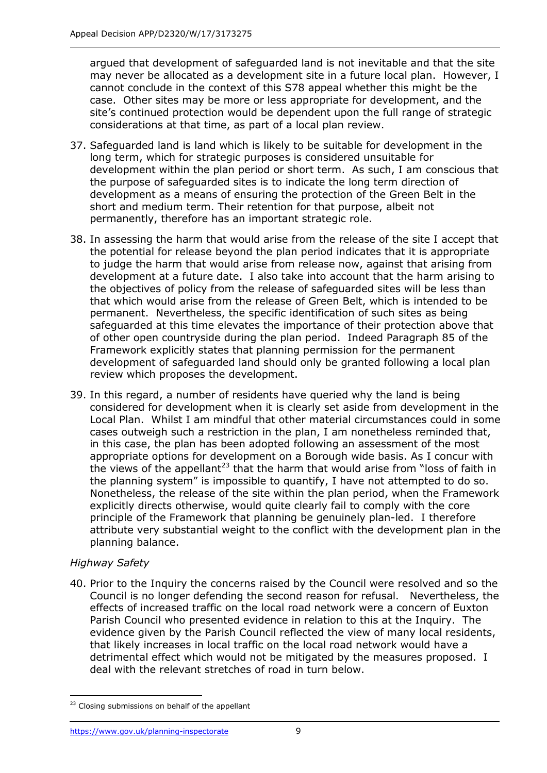argued that development of safeguarded land is not inevitable and that the site may never be allocated as a development site in a future local plan. However, I cannot conclude in the context of this S78 appeal whether this might be the case. Other sites may be more or less appropriate for development, and the site's continued protection would be dependent upon the full range of strategic considerations at that time, as part of a local plan review.

- 37. Safeguarded land is land which is likely to be suitable for development in the long term, which for strategic purposes is considered unsuitable for development within the plan period or short term. As such, I am conscious that the purpose of safeguarded sites is to indicate the long term direction of development as a means of ensuring the protection of the Green Belt in the short and medium term. Their retention for that purpose, albeit not permanently, therefore has an important strategic role.
- 38. In assessing the harm that would arise from the release of the site I accept that the potential for release beyond the plan period indicates that it is appropriate to judge the harm that would arise from release now, against that arising from development at a future date. I also take into account that the harm arising to the objectives of policy from the release of safeguarded sites will be less than that which would arise from the release of Green Belt, which is intended to be permanent. Nevertheless, the specific identification of such sites as being safeguarded at this time elevates the importance of their protection above that of other open countryside during the plan period. Indeed Paragraph 85 of the Framework explicitly states that planning permission for the permanent development of safeguarded land should only be granted following a local plan review which proposes the development.
- 39. In this regard, a number of residents have queried why the land is being considered for development when it is clearly set aside from development in the Local Plan. Whilst I am mindful that other material circumstances could in some cases outweigh such a restriction in the plan, I am nonetheless reminded that, in this case, the plan has been adopted following an assessment of the most appropriate options for development on a Borough wide basis. As I concur with the views of the appellant<sup>23</sup> that the harm that would arise from "loss of faith in the planning system" is impossible to quantify, I have not attempted to do so. Nonetheless, the release of the site within the plan period, when the Framework explicitly directs otherwise, would quite clearly fail to comply with the core principle of the Framework that planning be genuinely plan-led. I therefore attribute very substantial weight to the conflict with the development plan in the planning balance.

# *Highway Safety*

-

40. Prior to the Inquiry the concerns raised by the Council were resolved and so the Council is no longer defending the second reason for refusal. Nevertheless, the effects of increased traffic on the local road network were a concern of Euxton Parish Council who presented evidence in relation to this at the Inquiry. The evidence given by the Parish Council reflected the view of many local residents, that likely increases in local traffic on the local road network would have a detrimental effect which would not be mitigated by the measures proposed. I deal with the relevant stretches of road in turn below.

<sup>&</sup>lt;sup>23</sup> Closing submissions on behalf of the appellant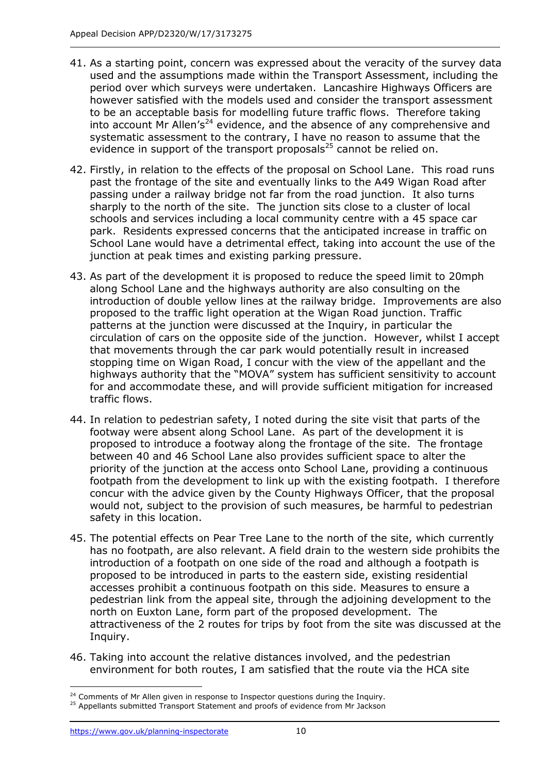- 41. As a starting point, concern was expressed about the veracity of the survey data used and the assumptions made within the Transport Assessment, including the period over which surveys were undertaken. Lancashire Highways Officers are however satisfied with the models used and consider the transport assessment to be an acceptable basis for modelling future traffic flows. Therefore taking into account Mr Allen's<sup>24</sup> evidence, and the absence of any comprehensive and systematic assessment to the contrary, I have no reason to assume that the evidence in support of the transport proposals<sup>25</sup> cannot be relied on.
- 42. Firstly, in relation to the effects of the proposal on School Lane. This road runs past the frontage of the site and eventually links to the A49 Wigan Road after passing under a railway bridge not far from the road junction. It also turns sharply to the north of the site. The junction sits close to a cluster of local schools and services including a local community centre with a 45 space car park. Residents expressed concerns that the anticipated increase in traffic on School Lane would have a detrimental effect, taking into account the use of the junction at peak times and existing parking pressure.
- 43. As part of the development it is proposed to reduce the speed limit to 20mph along School Lane and the highways authority are also consulting on the introduction of double yellow lines at the railway bridge. Improvements are also proposed to the traffic light operation at the Wigan Road junction. Traffic patterns at the junction were discussed at the Inquiry, in particular the circulation of cars on the opposite side of the junction. However, whilst I accept that movements through the car park would potentially result in increased stopping time on Wigan Road, I concur with the view of the appellant and the highways authority that the "MOVA" system has sufficient sensitivity to account for and accommodate these, and will provide sufficient mitigation for increased traffic flows.
- 44. In relation to pedestrian safety, I noted during the site visit that parts of the footway were absent along School Lane. As part of the development it is proposed to introduce a footway along the frontage of the site. The frontage between 40 and 46 School Lane also provides sufficient space to alter the priority of the junction at the access onto School Lane, providing a continuous footpath from the development to link up with the existing footpath. I therefore concur with the advice given by the County Highways Officer, that the proposal would not, subject to the provision of such measures, be harmful to pedestrian safety in this location.
- 45. The potential effects on Pear Tree Lane to the north of the site, which currently has no footpath, are also relevant. A field drain to the western side prohibits the introduction of a footpath on one side of the road and although a footpath is proposed to be introduced in parts to the eastern side, existing residential accesses prohibit a continuous footpath on this side. Measures to ensure a pedestrian link from the appeal site, through the adjoining development to the north on Euxton Lane, form part of the proposed development. The attractiveness of the 2 routes for trips by foot from the site was discussed at the Inquiry.
- 46. Taking into account the relative distances involved, and the pedestrian environment for both routes, I am satisfied that the route via the HCA site

j <sup>24</sup> Comments of Mr Allen given in response to Inspector questions during the Inquiry.

<sup>&</sup>lt;sup>25</sup> Appellants submitted Transport Statement and proofs of evidence from Mr Jackson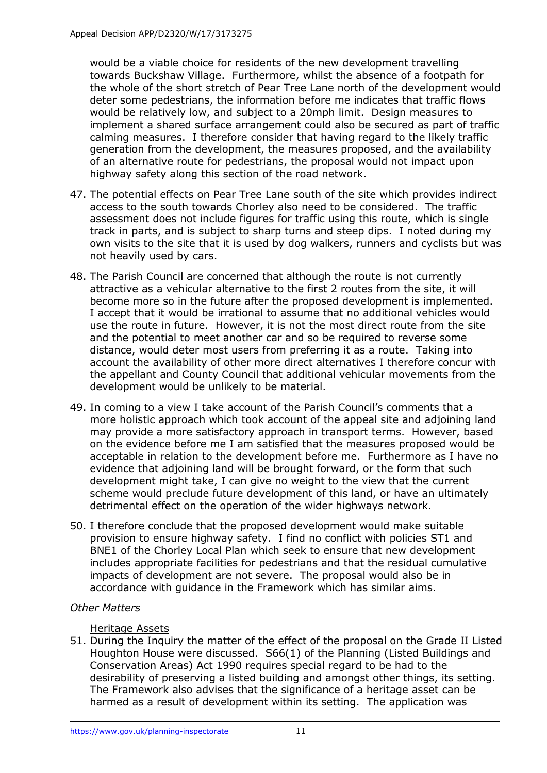would be a viable choice for residents of the new development travelling towards Buckshaw Village. Furthermore, whilst the absence of a footpath for the whole of the short stretch of Pear Tree Lane north of the development would deter some pedestrians, the information before me indicates that traffic flows would be relatively low, and subject to a 20mph limit. Design measures to implement a shared surface arrangement could also be secured as part of traffic calming measures. I therefore consider that having regard to the likely traffic generation from the development, the measures proposed, and the availability of an alternative route for pedestrians, the proposal would not impact upon highway safety along this section of the road network.

- 47. The potential effects on Pear Tree Lane south of the site which provides indirect access to the south towards Chorley also need to be considered. The traffic assessment does not include figures for traffic using this route, which is single track in parts, and is subject to sharp turns and steep dips. I noted during my own visits to the site that it is used by dog walkers, runners and cyclists but was not heavily used by cars.
- 48. The Parish Council are concerned that although the route is not currently attractive as a vehicular alternative to the first 2 routes from the site, it will become more so in the future after the proposed development is implemented. I accept that it would be irrational to assume that no additional vehicles would use the route in future. However, it is not the most direct route from the site and the potential to meet another car and so be required to reverse some distance, would deter most users from preferring it as a route. Taking into account the availability of other more direct alternatives I therefore concur with the appellant and County Council that additional vehicular movements from the development would be unlikely to be material.
- 49. In coming to a view I take account of the Parish Council's comments that a more holistic approach which took account of the appeal site and adjoining land may provide a more satisfactory approach in transport terms. However, based on the evidence before me I am satisfied that the measures proposed would be acceptable in relation to the development before me. Furthermore as I have no evidence that adjoining land will be brought forward, or the form that such development might take, I can give no weight to the view that the current scheme would preclude future development of this land, or have an ultimately detrimental effect on the operation of the wider highways network.
- 50. I therefore conclude that the proposed development would make suitable provision to ensure highway safety. I find no conflict with policies ST1 and BNE1 of the Chorley Local Plan which seek to ensure that new development includes appropriate facilities for pedestrians and that the residual cumulative impacts of development are not severe. The proposal would also be in accordance with guidance in the Framework which has similar aims.

# *Other Matters*

## Heritage Assets

51. During the Inquiry the matter of the effect of the proposal on the Grade II Listed Houghton House were discussed. S66(1) of the Planning (Listed Buildings and Conservation Areas) Act 1990 requires special regard to be had to the desirability of preserving a listed building and amongst other things, its setting. The Framework also advises that the significance of a heritage asset can be harmed as a result of development within its setting. The application was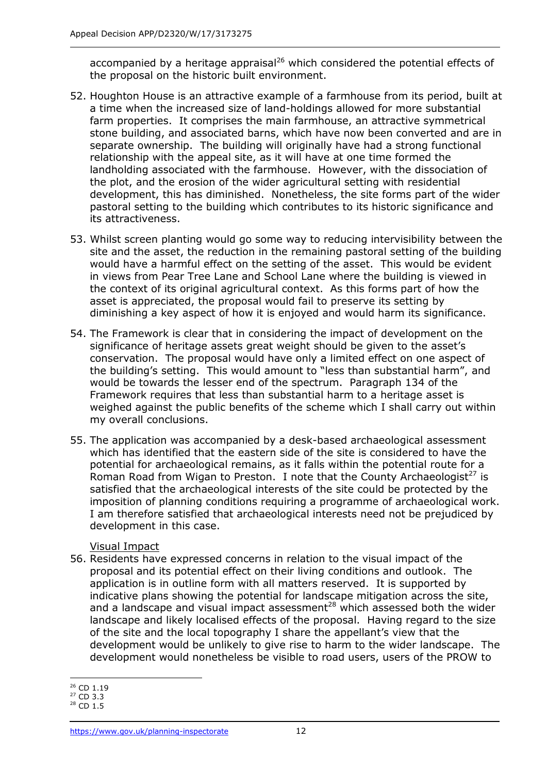accompanied by a heritage appraisal<sup>26</sup> which considered the potential effects of the proposal on the historic built environment.

- 52. Houghton House is an attractive example of a farmhouse from its period, built at a time when the increased size of land-holdings allowed for more substantial farm properties. It comprises the main farmhouse, an attractive symmetrical stone building, and associated barns, which have now been converted and are in separate ownership. The building will originally have had a strong functional relationship with the appeal site, as it will have at one time formed the landholding associated with the farmhouse. However, with the dissociation of the plot, and the erosion of the wider agricultural setting with residential development, this has diminished. Nonetheless, the site forms part of the wider pastoral setting to the building which contributes to its historic significance and its attractiveness.
- 53. Whilst screen planting would go some way to reducing intervisibility between the site and the asset, the reduction in the remaining pastoral setting of the building would have a harmful effect on the setting of the asset. This would be evident in views from Pear Tree Lane and School Lane where the building is viewed in the context of its original agricultural context. As this forms part of how the asset is appreciated, the proposal would fail to preserve its setting by diminishing a key aspect of how it is enjoyed and would harm its significance.
- 54. The Framework is clear that in considering the impact of development on the significance of heritage assets great weight should be given to the asset's conservation. The proposal would have only a limited effect on one aspect of the building's setting. This would amount to "less than substantial harm", and would be towards the lesser end of the spectrum. Paragraph 134 of the Framework requires that less than substantial harm to a heritage asset is weighed against the public benefits of the scheme which I shall carry out within my overall conclusions.
- 55. The application was accompanied by a desk-based archaeological assessment which has identified that the eastern side of the site is considered to have the potential for archaeological remains, as it falls within the potential route for a Roman Road from Wigan to Preston. I note that the County Archaeologist<sup>27</sup> is satisfied that the archaeological interests of the site could be protected by the imposition of planning conditions requiring a programme of archaeological work. I am therefore satisfied that archaeological interests need not be prejudiced by development in this case.

## Visual Impact

56. Residents have expressed concerns in relation to the visual impact of the proposal and its potential effect on their living conditions and outlook. The application is in outline form with all matters reserved. It is supported by indicative plans showing the potential for landscape mitigation across the site, and a landscape and visual impact assessment<sup>28</sup> which assessed both the wider landscape and likely localised effects of the proposal. Having regard to the size of the site and the local topography I share the appellant's view that the development would be unlikely to give rise to harm to the wider landscape. The development would nonetheless be visible to road users, users of the PROW to

j <sup>26</sup> CD 1.19

 $27$  CD 3.3

<sup>&</sup>lt;sup>28</sup> CD 1.5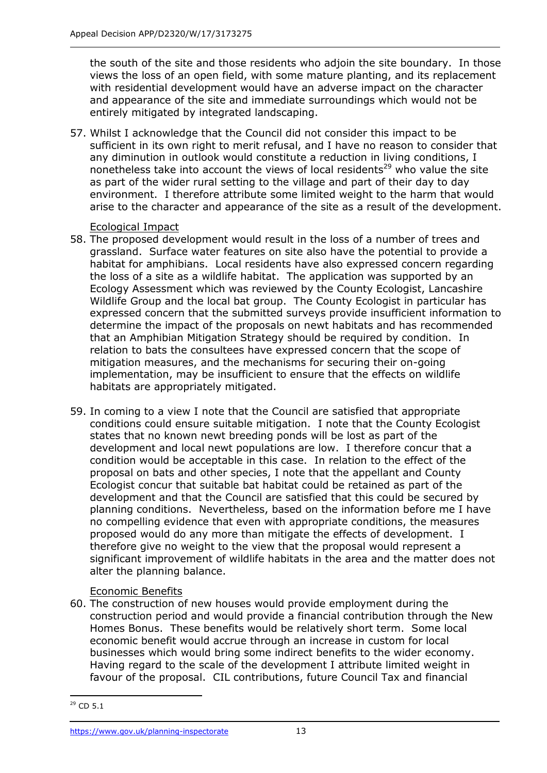the south of the site and those residents who adjoin the site boundary. In those views the loss of an open field, with some mature planting, and its replacement with residential development would have an adverse impact on the character and appearance of the site and immediate surroundings which would not be entirely mitigated by integrated landscaping.

57. Whilst I acknowledge that the Council did not consider this impact to be sufficient in its own right to merit refusal, and I have no reason to consider that any diminution in outlook would constitute a reduction in living conditions, I nonetheless take into account the views of local residents<sup>29</sup> who value the site as part of the wider rural setting to the village and part of their day to day environment. I therefore attribute some limited weight to the harm that would arise to the character and appearance of the site as a result of the development.

Ecological Impact

- 58. The proposed development would result in the loss of a number of trees and grassland. Surface water features on site also have the potential to provide a habitat for amphibians. Local residents have also expressed concern regarding the loss of a site as a wildlife habitat. The application was supported by an Ecology Assessment which was reviewed by the County Ecologist, Lancashire Wildlife Group and the local bat group. The County Ecologist in particular has expressed concern that the submitted surveys provide insufficient information to determine the impact of the proposals on newt habitats and has recommended that an Amphibian Mitigation Strategy should be required by condition. In relation to bats the consultees have expressed concern that the scope of mitigation measures, and the mechanisms for securing their on-going implementation, may be insufficient to ensure that the effects on wildlife habitats are appropriately mitigated.
- 59. In coming to a view I note that the Council are satisfied that appropriate conditions could ensure suitable mitigation. I note that the County Ecologist states that no known newt breeding ponds will be lost as part of the development and local newt populations are low. I therefore concur that a condition would be acceptable in this case. In relation to the effect of the proposal on bats and other species, I note that the appellant and County Ecologist concur that suitable bat habitat could be retained as part of the development and that the Council are satisfied that this could be secured by planning conditions. Nevertheless, based on the information before me I have no compelling evidence that even with appropriate conditions, the measures proposed would do any more than mitigate the effects of development. I therefore give no weight to the view that the proposal would represent a significant improvement of wildlife habitats in the area and the matter does not alter the planning balance.

## Economic Benefits

60. The construction of new houses would provide employment during the construction period and would provide a financial contribution through the New Homes Bonus. These benefits would be relatively short term. Some local economic benefit would accrue through an increase in custom for local businesses which would bring some indirect benefits to the wider economy. Having regard to the scale of the development I attribute limited weight in favour of the proposal. CIL contributions, future Council Tax and financial

<sup>-</sup><sup>29</sup> CD 5.1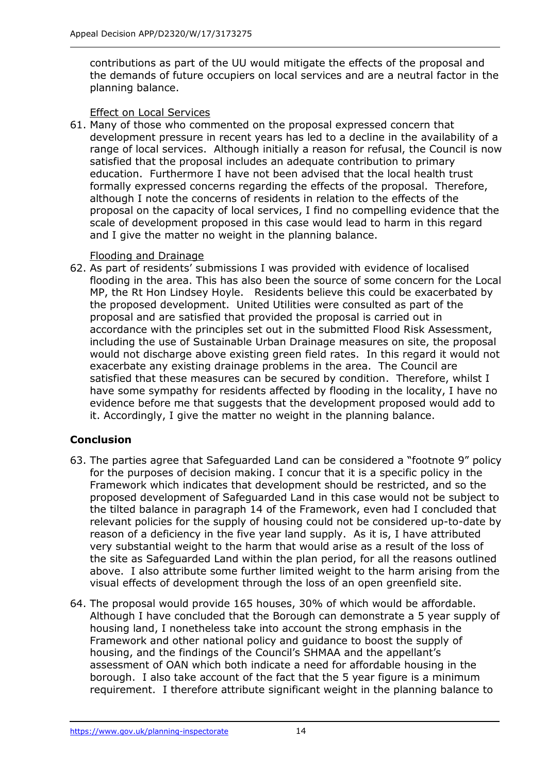contributions as part of the UU would mitigate the effects of the proposal and the demands of future occupiers on local services and are a neutral factor in the planning balance.

## Effect on Local Services

61. Many of those who commented on the proposal expressed concern that development pressure in recent years has led to a decline in the availability of a range of local services. Although initially a reason for refusal, the Council is now satisfied that the proposal includes an adequate contribution to primary education. Furthermore I have not been advised that the local health trust formally expressed concerns regarding the effects of the proposal. Therefore, although I note the concerns of residents in relation to the effects of the proposal on the capacity of local services, I find no compelling evidence that the scale of development proposed in this case would lead to harm in this regard and I give the matter no weight in the planning balance.

### Flooding and Drainage

62. As part of residents' submissions I was provided with evidence of localised flooding in the area. This has also been the source of some concern for the Local MP, the Rt Hon Lindsey Hoyle. Residents believe this could be exacerbated by the proposed development. United Utilities were consulted as part of the proposal and are satisfied that provided the proposal is carried out in accordance with the principles set out in the submitted Flood Risk Assessment, including the use of Sustainable Urban Drainage measures on site, the proposal would not discharge above existing green field rates. In this regard it would not exacerbate any existing drainage problems in the area. The Council are satisfied that these measures can be secured by condition. Therefore, whilst I have some sympathy for residents affected by flooding in the locality, I have no evidence before me that suggests that the development proposed would add to it. Accordingly, I give the matter no weight in the planning balance.

## **Conclusion**

- 63. The parties agree that Safeguarded Land can be considered a "footnote 9" policy for the purposes of decision making. I concur that it is a specific policy in the Framework which indicates that development should be restricted, and so the proposed development of Safeguarded Land in this case would not be subject to the tilted balance in paragraph 14 of the Framework, even had I concluded that relevant policies for the supply of housing could not be considered up-to-date by reason of a deficiency in the five year land supply. As it is, I have attributed very substantial weight to the harm that would arise as a result of the loss of the site as Safeguarded Land within the plan period, for all the reasons outlined above. I also attribute some further limited weight to the harm arising from the visual effects of development through the loss of an open greenfield site.
- 64. The proposal would provide 165 houses, 30% of which would be affordable. Although I have concluded that the Borough can demonstrate a 5 year supply of housing land, I nonetheless take into account the strong emphasis in the Framework and other national policy and guidance to boost the supply of housing, and the findings of the Council's SHMAA and the appellant's assessment of OAN which both indicate a need for affordable housing in the borough. I also take account of the fact that the 5 year figure is a minimum requirement. I therefore attribute significant weight in the planning balance to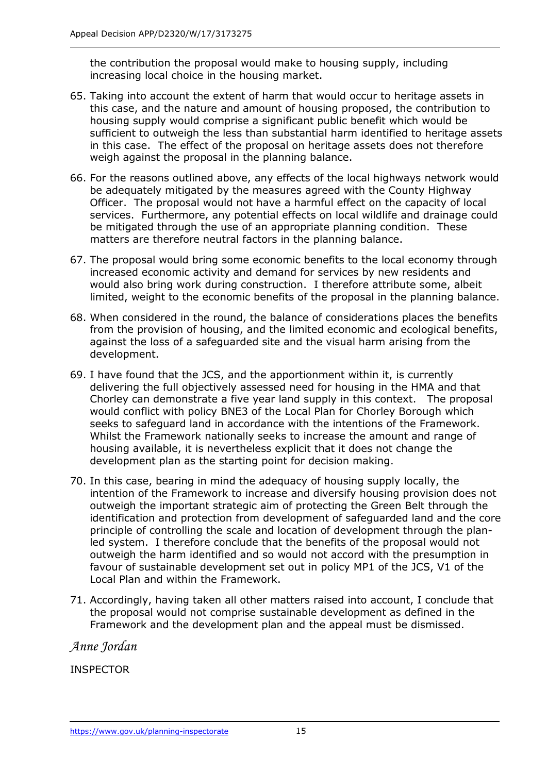the contribution the proposal would make to housing supply, including increasing local choice in the housing market.

- 65. Taking into account the extent of harm that would occur to heritage assets in this case, and the nature and amount of housing proposed, the contribution to housing supply would comprise a significant public benefit which would be sufficient to outweigh the less than substantial harm identified to heritage assets in this case. The effect of the proposal on heritage assets does not therefore weigh against the proposal in the planning balance.
- 66. For the reasons outlined above, any effects of the local highways network would be adequately mitigated by the measures agreed with the County Highway Officer. The proposal would not have a harmful effect on the capacity of local services. Furthermore, any potential effects on local wildlife and drainage could be mitigated through the use of an appropriate planning condition. These matters are therefore neutral factors in the planning balance.
- 67. The proposal would bring some economic benefits to the local economy through increased economic activity and demand for services by new residents and would also bring work during construction. I therefore attribute some, albeit limited, weight to the economic benefits of the proposal in the planning balance.
- 68. When considered in the round, the balance of considerations places the benefits from the provision of housing, and the limited economic and ecological benefits, against the loss of a safeguarded site and the visual harm arising from the development.
- 69. I have found that the JCS, and the apportionment within it, is currently delivering the full objectively assessed need for housing in the HMA and that Chorley can demonstrate a five year land supply in this context. The proposal would conflict with policy BNE3 of the Local Plan for Chorley Borough which seeks to safeguard land in accordance with the intentions of the Framework. Whilst the Framework nationally seeks to increase the amount and range of housing available, it is nevertheless explicit that it does not change the development plan as the starting point for decision making.
- 70. In this case, bearing in mind the adequacy of housing supply locally, the intention of the Framework to increase and diversify housing provision does not outweigh the important strategic aim of protecting the Green Belt through the identification and protection from development of safeguarded land and the core principle of controlling the scale and location of development through the planled system. I therefore conclude that the benefits of the proposal would not outweigh the harm identified and so would not accord with the presumption in favour of sustainable development set out in policy MP1 of the JCS, V1 of the Local Plan and within the Framework.
- 71. Accordingly, having taken all other matters raised into account, I conclude that the proposal would not comprise sustainable development as defined in the Framework and the development plan and the appeal must be dismissed.

*Anne Jordan*

INSPECTOR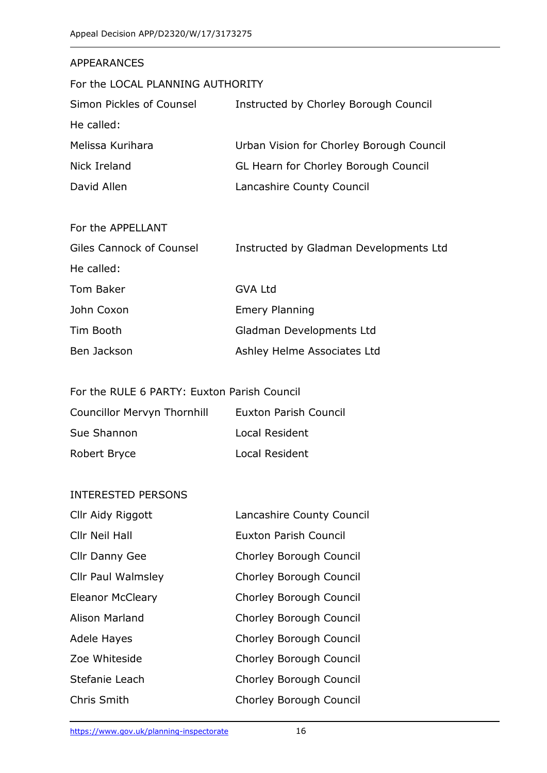| <b>APPEARANCES</b>               |                                          |  |  |  |
|----------------------------------|------------------------------------------|--|--|--|
| For the LOCAL PLANNING AUTHORITY |                                          |  |  |  |
| Simon Pickles of Counsel         | Instructed by Chorley Borough Council    |  |  |  |
| He called:                       |                                          |  |  |  |
| Melissa Kurihara                 | Urban Vision for Chorley Borough Council |  |  |  |
| Nick Ireland                     | GL Hearn for Chorley Borough Council     |  |  |  |
| David Allen                      | Lancashire County Council                |  |  |  |
|                                  |                                          |  |  |  |
| For the APPELLANT                |                                          |  |  |  |
| Giles Cannock of Counsel         | Instructed by Gladman Developments Ltd   |  |  |  |
| He called:                       |                                          |  |  |  |
| <b>Tom Baker</b>                 | <b>GVA Ltd</b>                           |  |  |  |
| John Coxon                       | <b>Emery Planning</b>                    |  |  |  |
| Tim Booth                        | Gladman Developments Ltd                 |  |  |  |
| Ben Jackson                      | Ashley Helme Associates Ltd              |  |  |  |

# For the RULE 6 PARTY: Euxton Parish Council

| <b>Councillor Mervyn Thornhill</b> | Euxton Parish Council |
|------------------------------------|-----------------------|
| Sue Shannon                        | Local Resident        |
| Robert Bryce                       | Local Resident        |

#### INTERESTED PERSONS

| Cllr Aidy Riggott         | Lancashire County Council |  |
|---------------------------|---------------------------|--|
| Cllr Neil Hall            | Euxton Parish Council     |  |
| <b>Cllr Danny Gee</b>     | Chorley Borough Council   |  |
| <b>Cllr Paul Walmsley</b> | Chorley Borough Council   |  |
| <b>Eleanor McCleary</b>   | Chorley Borough Council   |  |
| Alison Marland            | Chorley Borough Council   |  |
| <b>Adele Hayes</b>        | Chorley Borough Council   |  |
| Zoe Whiteside             | Chorley Borough Council   |  |
| Stefanie Leach            | Chorley Borough Council   |  |
| Chris Smith               | Chorley Borough Council   |  |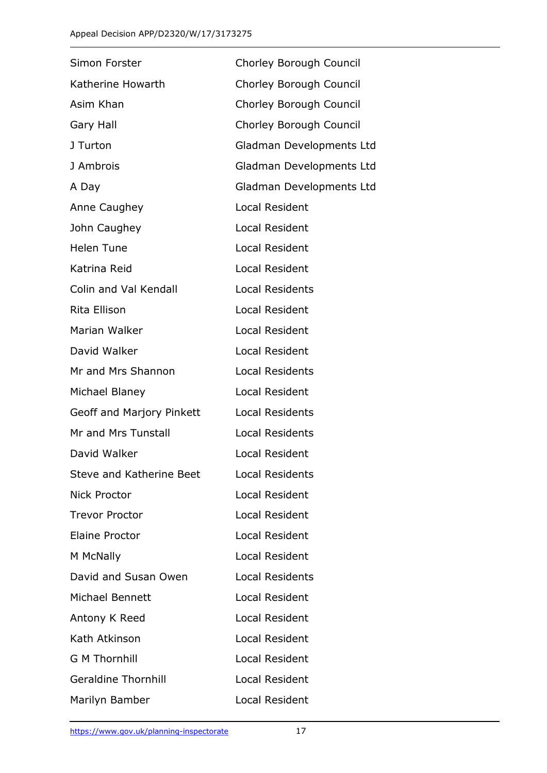| Simon Forster                   | Chorley Borough Council  |  |
|---------------------------------|--------------------------|--|
| Katherine Howarth               | Chorley Borough Council  |  |
| Asim Khan                       | Chorley Borough Council  |  |
| Gary Hall                       | Chorley Borough Council  |  |
| J Turton                        | Gladman Developments Ltd |  |
| J Ambrois                       | Gladman Developments Ltd |  |
| A Day                           | Gladman Developments Ltd |  |
| Anne Caughey                    | Local Resident           |  |
| John Caughey                    | Local Resident           |  |
| <b>Helen Tune</b>               | Local Resident           |  |
| Katrina Reid                    | Local Resident           |  |
| Colin and Val Kendall           | <b>Local Residents</b>   |  |
| Rita Ellison                    | Local Resident           |  |
| Marian Walker                   | Local Resident           |  |
| David Walker                    | Local Resident           |  |
| Mr and Mrs Shannon              | <b>Local Residents</b>   |  |
| Michael Blaney                  | Local Resident           |  |
| Geoff and Marjory Pinkett       | <b>Local Residents</b>   |  |
| Mr and Mrs Tunstall             | <b>Local Residents</b>   |  |
| David Walker                    | <b>Local Resident</b>    |  |
| <b>Steve and Katherine Beet</b> | <b>Local Residents</b>   |  |
| <b>Nick Proctor</b>             | Local Resident           |  |
| <b>Trevor Proctor</b>           | Local Resident           |  |
| <b>Elaine Proctor</b>           | <b>Local Resident</b>    |  |
| M McNally                       | <b>Local Resident</b>    |  |
| David and Susan Owen            | <b>Local Residents</b>   |  |
| Michael Bennett                 | <b>Local Resident</b>    |  |
| Antony K Reed                   | Local Resident           |  |
| Kath Atkinson                   | Local Resident           |  |
| <b>G M Thornhill</b>            | Local Resident           |  |
| <b>Geraldine Thornhill</b>      | Local Resident           |  |
| Marilyn Bamber                  | Local Resident           |  |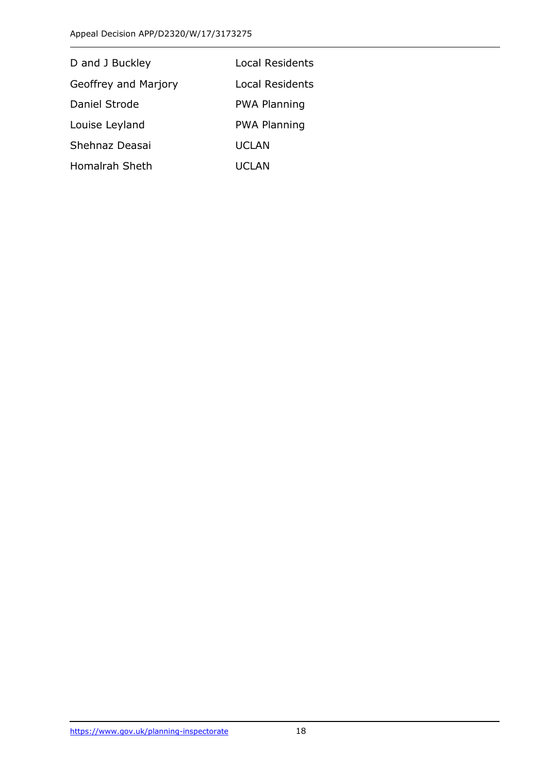| D and J Buckley       | Local Residents     |
|-----------------------|---------------------|
| Geoffrey and Marjory  | Local Residents     |
| Daniel Strode         | <b>PWA Planning</b> |
| Louise Leyland        | <b>PWA Planning</b> |
| Shehnaz Deasai        | UCLAN               |
| <b>Homalrah Sheth</b> | UCLAN               |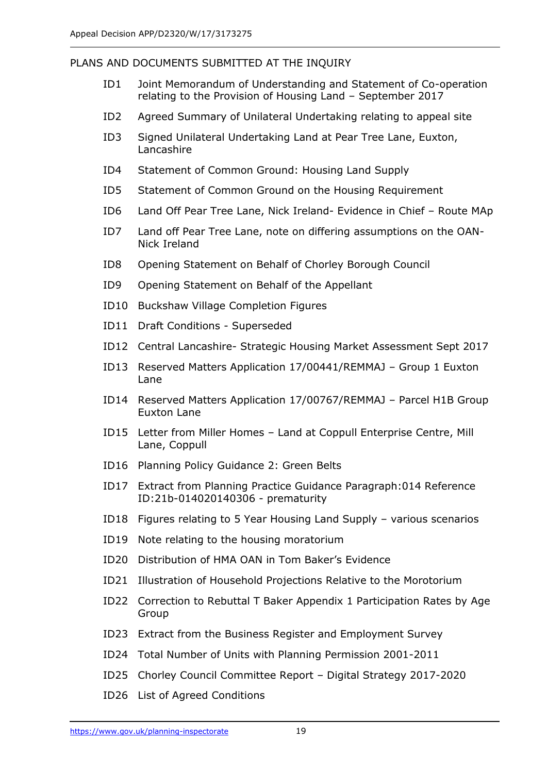## PLANS AND DOCUMENTS SUBMITTED AT THE INQUIRY

- ID1 Joint Memorandum of Understanding and Statement of Co-operation relating to the Provision of Housing Land – September 2017
- ID2 Agreed Summary of Unilateral Undertaking relating to appeal site
- ID3 Signed Unilateral Undertaking Land at Pear Tree Lane, Euxton, Lancashire
- ID4 Statement of Common Ground: Housing Land Supply
- ID5 Statement of Common Ground on the Housing Requirement
- ID6 Land Off Pear Tree Lane, Nick Ireland- Evidence in Chief Route MAp
- ID7 Land off Pear Tree Lane, note on differing assumptions on the OAN-Nick Ireland
- ID8 Opening Statement on Behalf of Chorley Borough Council
- ID9 Opening Statement on Behalf of the Appellant
- ID10 Buckshaw Village Completion Figures
- ID11 Draft Conditions Superseded
- ID12 Central Lancashire- Strategic Housing Market Assessment Sept 2017
- ID13 Reserved Matters Application 17/00441/REMMAJ Group 1 Euxton Lane
- ID14 Reserved Matters Application 17/00767/REMMAJ Parcel H1B Group Euxton Lane
- ID15 Letter from Miller Homes Land at Coppull Enterprise Centre, Mill Lane, Coppull
- ID16 Planning Policy Guidance 2: Green Belts
- ID17 Extract from Planning Practice Guidance Paragraph:014 Reference ID:21b-014020140306 - prematurity
- ID18 Figures relating to 5 Year Housing Land Supply various scenarios
- ID19 Note relating to the housing moratorium
- ID20 Distribution of HMA OAN in Tom Baker's Evidence
- ID21 Illustration of Household Projections Relative to the Morotorium
- ID22 Correction to Rebuttal T Baker Appendix 1 Participation Rates by Age Group
- ID23 Extract from the Business Register and Employment Survey
- ID24 Total Number of Units with Planning Permission 2001-2011
- ID25 Chorley Council Committee Report Digital Strategy 2017-2020
- ID26 List of Agreed Conditions